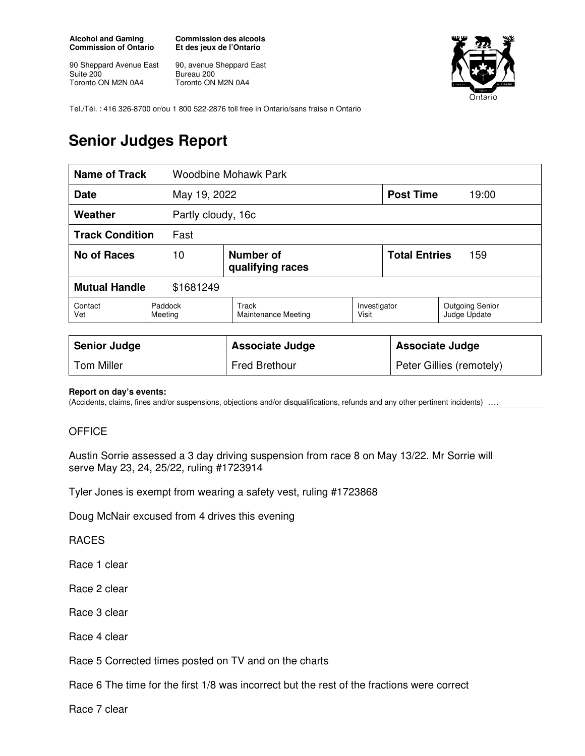**Alcohol and Gaming Commission of Ontario** 

90 Sheppard Avenue East Suite 200 Toronto ON M2N 0A4

**Commission des alcools Et des jeux de l'Ontario** 

90, avenue Sheppard East Bureau 200 Toronto ON M2N 0A4



Tel./Tél. : 416 326-8700 or/ou 1 800 522-2876 toll free in Ontario/sans fraise n Ontario

## **Senior Judges Report**

| <b>Name of Track</b>              |                    | <b>Woodbine Mohawk Park</b>   |                       |                      |                                        |  |
|-----------------------------------|--------------------|-------------------------------|-----------------------|----------------------|----------------------------------------|--|
| <b>Date</b>                       |                    | May 19, 2022                  |                       |                      | <b>Post Time</b><br>19:00              |  |
| Weather                           |                    | Partly cloudy, 16c            |                       |                      |                                        |  |
| <b>Track Condition</b><br>Fast    |                    |                               |                       |                      |                                        |  |
| No of Races                       | 10                 | Number of<br>qualifying races |                       | <b>Total Entries</b> | 159                                    |  |
| <b>Mutual Handle</b><br>\$1681249 |                    |                               |                       |                      |                                        |  |
| Contact<br>Vet                    | Paddock<br>Meeting | Track<br>Maintenance Meeting  | Investigator<br>Visit |                      | <b>Outgoing Senior</b><br>Judge Update |  |
|                                   |                    |                               |                       |                      |                                        |  |

| <b>Senior Judge</b> | <b>Associate Judge</b> | <b>Associate Judge</b>   |
|---------------------|------------------------|--------------------------|
| <b>Tom Miller</b>   | <b>Fred Brethour</b>   | Peter Gillies (remotely) |

## **Report on day's events:**

(Accidents, claims, fines and/or suspensions, objections and/or disqualifications, refunds and any other pertinent incidents) ….

## **OFFICE**

Austin Sorrie assessed a 3 day driving suspension from race 8 on May 13/22. Mr Sorrie will serve May 23, 24, 25/22, ruling #1723914

Tyler Jones is exempt from wearing a safety vest, ruling #1723868

Doug McNair excused from 4 drives this evening

RACES

Race 1 clear

Race 2 clear

Race 3 clear

Race 4 clear

Race 5 Corrected times posted on TV and on the charts

Race 6 The time for the first 1/8 was incorrect but the rest of the fractions were correct

Race 7 clear